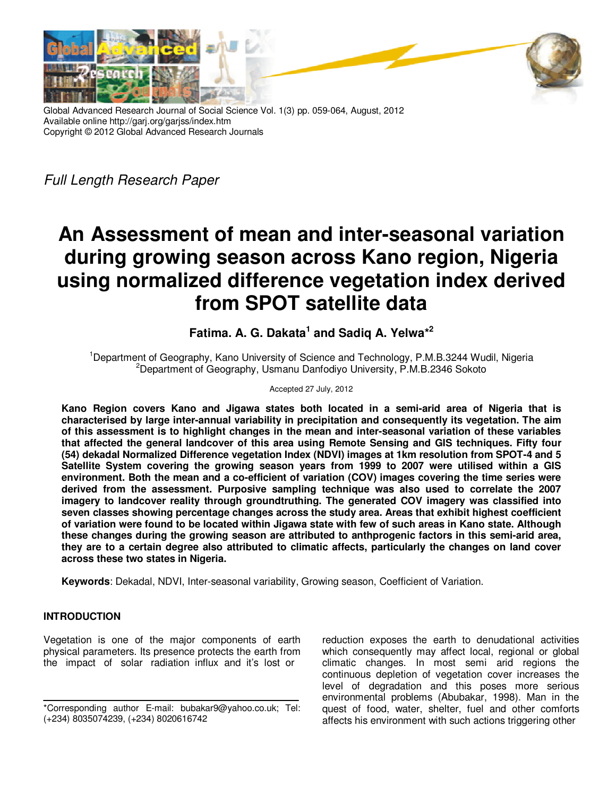

Global Advanced Research Journal of Social Science Vol. 1(3) pp. 059-064, August, 2012 Available online http://garj.org/garjss/index.htm Copyright © 2012 Global Advanced Research Journals

*Full Length Research Paper* 

# **An Assessment of mean and inter-seasonal variation during growing season across Kano region, Nigeria using normalized difference vegetation index derived from SPOT satellite data**

# **Fatima. A. G. Dakata<sup>1</sup> and Sadiq A. Yelwa\*<sup>2</sup>**

<sup>1</sup>Department of Geography, Kano University of Science and Technology, P.M.B.3244 Wudil, Nigeria <sup>2</sup>Department of Geography, Usmanu Danfodiyo University, P.M.B.2346 Sokoto

### Accepted 27 July, 2012

**Kano Region covers Kano and Jigawa states both located in a semi-arid area of Nigeria that is characterised by large inter-annual variability in precipitation and consequently its vegetation. The aim of this assessment is to highlight changes in the mean and inter-seasonal variation of these variables that affected the general landcover of this area using Remote Sensing and GIS techniques. Fifty four (54) dekadal Normalized Difference vegetation Index (NDVI) images at 1km resolution from SPOT-4 and 5 Satellite System covering the growing season years from 1999 to 2007 were utilised within a GIS environment. Both the mean and a co-efficient of variation (COV) images covering the time series were derived from the assessment. Purposive sampling technique was also used to correlate the 2007 imagery to landcover reality through groundtruthing. The generated COV imagery was classified into seven classes showing percentage changes across the study area. Areas that exhibit highest coefficient of variation were found to be located within Jigawa state with few of such areas in Kano state. Although these changes during the growing season are attributed to anthprogenic factors in this semi-arid area, they are to a certain degree also attributed to climatic affects, particularly the changes on land cover across these two states in Nigeria.** 

**Keywords**: Dekadal, NDVI, Inter-seasonal variability, Growing season, Coefficient of Variation.

# **INTRODUCTION**

Vegetation is one of the major components of earth physical parameters. Its presence protects the earth from the impact of solar radiation influx and it's lost or

reduction exposes the earth to denudational activities which consequently may affect local, regional or global climatic changes. In most semi arid regions the continuous depletion of vegetation cover increases the level of degradation and this poses more serious environmental problems (Abubakar, 1998). Man in the quest of food, water, shelter, fuel and other comforts affects his environment with such actions triggering other

<sup>\*</sup>Corresponding author E-mail: bubakar9@yahoo.co.uk; Tel: (+234) 8035074239, (+234) 8020616742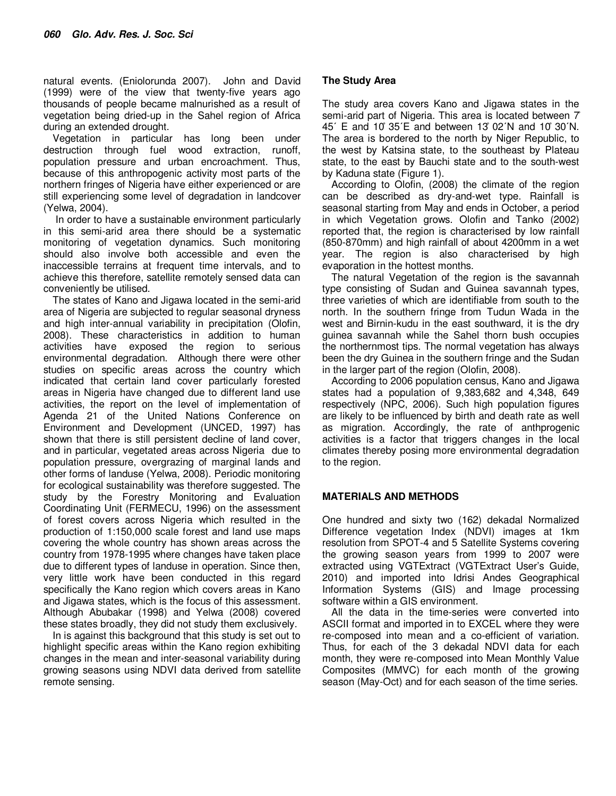natural events. (Eniolorunda 2007). John and David (1999) were of the view that twenty-five years ago thousands of people became malnurished as a result of vegetation being dried-up in the Sahel region of Africa during an extended drought.

Vegetation in particular has long been under destruction through fuel wood extraction, runoff, population pressure and urban encroachment. Thus, because of this anthropogenic activity most parts of the northern fringes of Nigeria have either experienced or are still experiencing some level of degradation in landcover (Yelwa, 2004).

 In order to have a sustainable environment particularly in this semi-arid area there should be a systematic monitoring of vegetation dynamics. Such monitoring should also involve both accessible and even the inaccessible terrains at frequent time intervals, and to achieve this therefore, satellite remotely sensed data can conveniently be utilised.

The states of Kano and Jigawa located in the semi-arid area of Nigeria are subjected to regular seasonal dryness and high inter-annual variability in precipitation (Olofin, 2008). These characteristics in addition to human activities have exposed the region to serious environmental degradation. Although there were other studies on specific areas across the country which indicated that certain land cover particularly forested areas in Nigeria have changed due to different land use activities, the report on the level of implementation of Agenda 21 of the United Nations Conference on Environment and Development (UNCED, 1997) has shown that there is still persistent decline of land cover, and in particular, vegetated areas across Nigeria due to population pressure, overgrazing of marginal lands and other forms of landuse (Yelwa, 2008). Periodic monitoring for ecological sustainability was therefore suggested. The study by the Forestry Monitoring and Evaluation Coordinating Unit (FERMECU, 1996) on the assessment of forest covers across Nigeria which resulted in the production of 1:150,000 scale forest and land use maps covering the whole country has shown areas across the country from 1978-1995 where changes have taken place due to different types of landuse in operation. Since then, very little work have been conducted in this regard specifically the Kano region which covers areas in Kano and Jigawa states, which is the focus of this assessment. Although Abubakar (1998) and Yelwa (2008) covered these states broadly, they did not study them exclusively.

In is against this background that this study is set out to highlight specific areas within the Kano region exhibiting changes in the mean and inter-seasonal variability during growing seasons using NDVI data derived from satellite remote sensing.

# **The Study Area**

The study area covers Kano and Jigawa states in the semi-arid part of Nigeria. This area is located between 7̊ 45ʹ E and 10̊ 35ʹE and between 13̊ 02ʹN and 10̊ 30ʹN. The area is bordered to the north by Niger Republic, to the west by Katsina state, to the southeast by Plateau state, to the east by Bauchi state and to the south-west by Kaduna state (Figure 1).

According to Olofin, (2008) the climate of the region can be described as dry-and-wet type. Rainfall is seasonal starting from May and ends in October, a period in which Vegetation grows. Olofin and Tanko (2002) reported that, the region is characterised by low rainfall (850-870mm) and high rainfall of about 4200mm in a wet year. The region is also characterised by high evaporation in the hottest months.

The natural Vegetation of the region is the savannah type consisting of Sudan and Guinea savannah types, three varieties of which are identifiable from south to the north. In the southern fringe from Tudun Wada in the west and Birnin-kudu in the east southward, it is the dry guinea savannah while the Sahel thorn bush occupies the northernmost tips. The normal vegetation has always been the dry Guinea in the southern fringe and the Sudan in the larger part of the region (Olofin, 2008).

According to 2006 population census, Kano and Jigawa states had a population of 9,383,682 and 4,348, 649 respectively (NPC, 2006). Such high population figures are likely to be influenced by birth and death rate as well as migration. Accordingly, the rate of anthprogenic activities is a factor that triggers changes in the local climates thereby posing more environmental degradation to the region.

## **MATERIALS AND METHODS**

One hundred and sixty two (162) dekadal Normalized Difference vegetation Index (NDVI) images at 1km resolution from SPOT-4 and 5 Satellite Systems covering the growing season years from 1999 to 2007 were extracted using VGTExtract (VGTExtract User's Guide, 2010) and imported into Idrisi Andes Geographical Information Systems (GIS) and Image processing software within a GIS environment.

All the data in the time-series were converted into ASCII format and imported in to EXCEL where they were re-composed into mean and a co-efficient of variation. Thus, for each of the 3 dekadal NDVI data for each month, they were re-composed into Mean Monthly Value Composites (MMVC) for each month of the growing season (May-Oct) and for each season of the time series.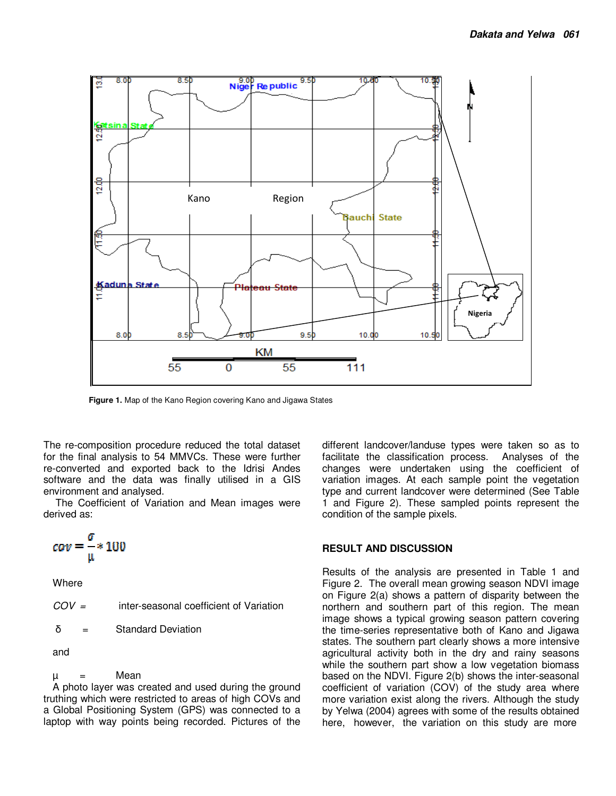

**Figure 1.** Map of the Kano Region covering Kano and Jigawa States

The re-composition procedure reduced the total dataset for the final analysis to 54 MMVCs. These were further re-converted and exported back to the Idrisi Andes software and the data was finally utilised in a GIS environment and analysed.

 The Coefficient of Variation and Mean images were derived as:

$$
cov = \frac{\sigma}{\mu} * 100
$$

**Where** 

$$
COV = \qquad \text{inter-seasonal coefficient of Variation}
$$

δ = Standard Deviation

and

#### $\mu$  = Mean

A photo layer was created and used during the ground truthing which were restricted to areas of high COVs and a Global Positioning System (GPS) was connected to a laptop with way points being recorded. Pictures of the different landcover/landuse types were taken so as to facilitate the classification process. Analyses of the changes were undertaken using the coefficient of variation images. At each sample point the vegetation type and current landcover were determined (See Table 1 and Figure 2). These sampled points represent the condition of the sample pixels.

# **RESULT AND DISCUSSION**

Results of the analysis are presented in Table 1 and Figure 2. The overall mean growing season NDVI image on Figure 2(a) shows a pattern of disparity between the northern and southern part of this region. The mean image shows a typical growing season pattern covering the time-series representative both of Kano and Jigawa states. The southern part clearly shows a more intensive agricultural activity both in the dry and rainy seasons while the southern part show a low vegetation biomass based on the NDVI. Figure 2(b) shows the inter-seasonal coefficient of variation (COV) of the study area where more variation exist along the rivers. Although the study by Yelwa (2004) agrees with some of the results obtained here, however, the variation on this study are more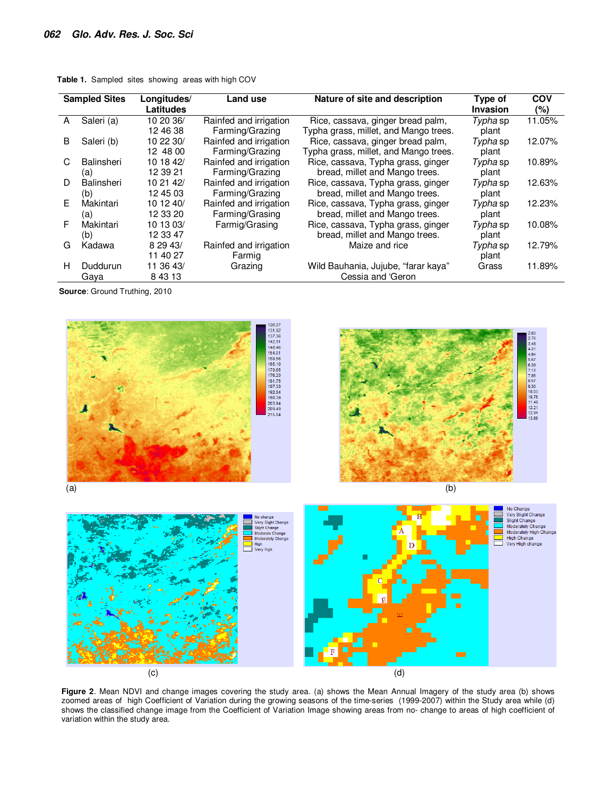| <b>Sampled Sites</b> |                   | Longitudes/ | Land use               | Nature of site and description        | Type of  | COV    |
|----------------------|-------------------|-------------|------------------------|---------------------------------------|----------|--------|
|                      |                   | Latitudes   |                        |                                       | Invasion | (%)    |
| A                    | Saleri (a)        | 10 20 36/   | Rainfed and irrigation | Rice, cassava, ginger bread palm,     | Typha sp | 11.05% |
|                      |                   | 12 46 38    | Farming/Grazing        | Typha grass, millet, and Mango trees. | plant    |        |
| B.                   | Saleri (b)        | 10 22 30/   | Rainfed and irrigation | Rice, cassava, ginger bread palm,     | Typha sp | 12.07% |
|                      |                   | 12 48 00    | Farming/Grazing        | Typha grass, millet, and Mango trees. | plant    |        |
| C.                   | <b>Balinsheri</b> | 10 18 42/   | Rainfed and irrigation | Rice, cassava, Typha grass, ginger    | Typha sp | 10.89% |
|                      | (a)               | 12 39 21    | Farming/Grazing        | bread, millet and Mango trees.        | plant    |        |
| D.                   | <b>Balinsheri</b> | 10 21 42/   | Rainfed and irrigation | Rice, cassava, Typha grass, ginger    | Typha sp | 12.63% |
|                      | (b)               | 12 45 03    | Farming/Grazing        | bread, millet and Mango trees.        | plant    |        |
| F.                   | Makintari         | 10 12 40/   | Rainfed and irrigation | Rice, cassava, Typha grass, ginger    | Typha sp | 12.23% |
|                      | (a)               | 12 33 20    | Farming/Grasing        | bread, millet and Mango trees.        | plant    |        |
| F                    | Makintari         | 10 13 03/   | Farmig/Grasing         | Rice, cassava, Typha grass, ginger    | Typha sp | 10.08% |
|                      | (b)               | 12 33 47    |                        | bread, millet and Mango trees.        | plant    |        |
| G                    | Kadawa            | 8 29 43/    | Rainfed and irrigation | Maize and rice                        | Typha sp | 12.79% |
|                      |                   | 11 40 27    | Farmig                 |                                       | plant    |        |
| н                    | Duddurun          | 11 36 43/   | Grazing                | Wild Bauhania, Jujube, "farar kaya"   | Grass    | 11.89% |
|                      | Gava              | 8 4 3 1 3   |                        | Cessia and 'Geron                     |          |        |

**Table 1.** Sampled sites showing areas with high COV

 **Source**: Ground Truthing, 2010



**Figure 2**. Mean NDVI and change images covering the study area. (a) shows the Mean Annual Imagery of the study area (b) shows zoomed areas of high Coefficient of Variation during the growing seasons of the time-series (1999-2007) within the Study area while (d) shows the classified change image from the Coefficient of Variation Image showing areas from no- change to areas of high coefficient of variation within the study area.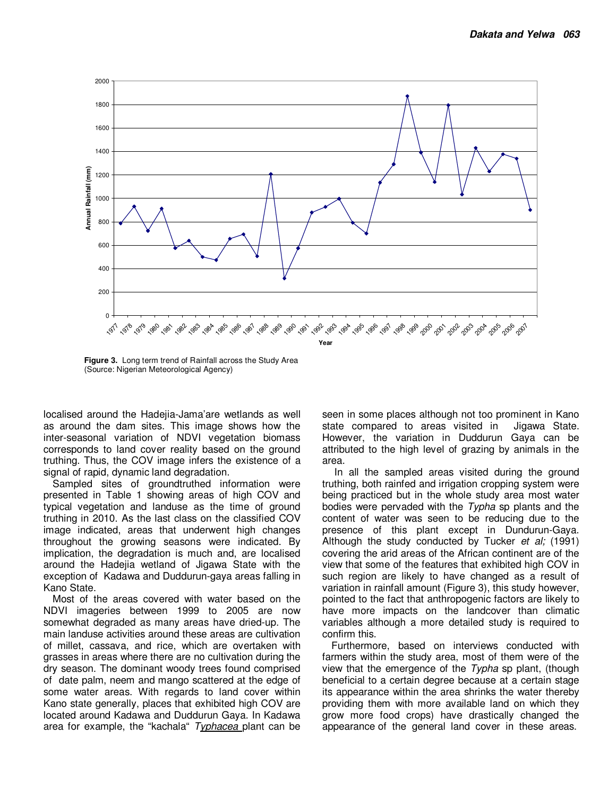

**Figure 3.** Long term trend of Rainfall across the Study Area (Source: Nigerian Meteorological Agency)

localised around the Hadejia-Jama'are wetlands as well as around the dam sites. This image shows how the inter-seasonal variation of NDVI vegetation biomass corresponds to land cover reality based on the ground truthing. Thus, the COV image infers the existence of a signal of rapid, dynamic land degradation.

Sampled sites of groundtruthed information were presented in Table 1 showing areas of high COV and typical vegetation and landuse as the time of ground truthing in 2010. As the last class on the classified COV image indicated, areas that underwent high changes throughout the growing seasons were indicated. By implication, the degradation is much and, are localised around the Hadejia wetland of Jigawa State with the exception of Kadawa and Duddurun-gaya areas falling in Kano State.

Most of the areas covered with water based on the NDVI imageries between 1999 to 2005 are now somewhat degraded as many areas have dried-up. The main landuse activities around these areas are cultivation of millet, cassava, and rice, which are overtaken with grasses in areas where there are no cultivation during the dry season. The dominant woody trees found comprised of date palm, neem and mango scattered at the edge of some water areas. With regards to land cover within Kano state generally, places that exhibited high COV are located around Kadawa and Duddurun Gaya. In Kadawa area for example, the "kachala" *Typhacea* plant can be seen in some places although not too prominent in Kano state compared to areas visited in Jigawa State. However, the variation in Duddurun Gaya can be attributed to the high level of grazing by animals in the area.

 In all the sampled areas visited during the ground truthing, both rainfed and irrigation cropping system were being practiced but in the whole study area most water bodies were pervaded with the *Typha* sp plants and the content of water was seen to be reducing due to the presence of this plant except in Dundurun-Gaya. Although the study conducted by Tucker *et al;* (1991) covering the arid areas of the African continent are of the view that some of the features that exhibited high COV in such region are likely to have changed as a result of variation in rainfall amount (Figure 3), this study however, pointed to the fact that anthropogenic factors are likely to have more impacts on the landcover than climatic variables although a more detailed study is required to confirm this.

Furthermore, based on interviews conducted with farmers within the study area, most of them were of the view that the emergence of the *Typha* sp plant, (though beneficial to a certain degree because at a certain stage its appearance within the area shrinks the water thereby providing them with more available land on which they grow more food crops) have drastically changed the appearance of the general land cover in these areas.